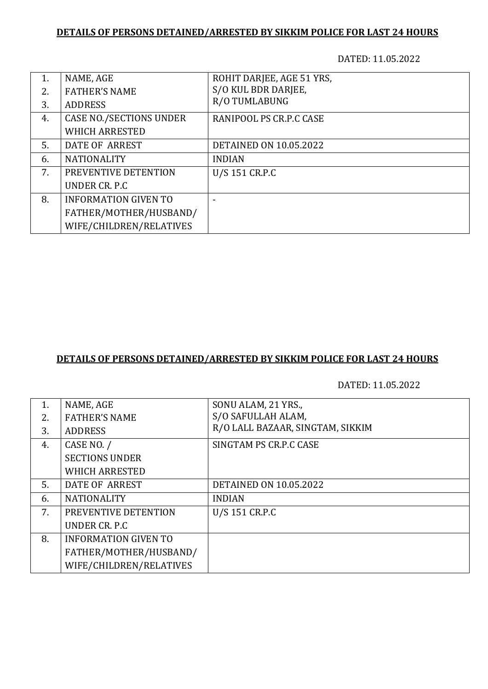## **DETAILS OF PERSONS DETAINED/ARRESTED BY SIKKIM POLICE FOR LAST 24 HOURS**

DATED: 11.05.2022

| 1. | NAME, AGE                      | ROHIT DARJEE, AGE 51 YRS,     |
|----|--------------------------------|-------------------------------|
| 2. | <b>FATHER'S NAME</b>           | S/O KUL BDR DARJEE,           |
| 3. | <b>ADDRESS</b>                 | R/O TUMLABUNG                 |
| 4. | <b>CASE NO./SECTIONS UNDER</b> | RANIPOOL PS CR.P.C CASE       |
|    | <b>WHICH ARRESTED</b>          |                               |
| 5. | DATE OF ARREST                 | <b>DETAINED ON 10.05.2022</b> |
| 6. | <b>NATIONALITY</b>             | <b>INDIAN</b>                 |
| 7. | PREVENTIVE DETENTION           | U/S 151 CR.P.C                |
|    | UNDER CR. P.C.                 |                               |
| 8. | <b>INFORMATION GIVEN TO</b>    |                               |
|    | FATHER/MOTHER/HUSBAND/         |                               |
|    | WIFE/CHILDREN/RELATIVES        |                               |

# **DETAILS OF PERSONS DETAINED/ARRESTED BY SIKKIM POLICE FOR LAST 24 HOURS**

DATED: 11.05.2022

| 1. | NAME, AGE                   | SONU ALAM, 21 YRS.,              |
|----|-----------------------------|----------------------------------|
|    |                             |                                  |
| 2. | <b>FATHER'S NAME</b>        | S/O SAFULLAH ALAM,               |
| 3. | <b>ADDRESS</b>              | R/O LALL BAZAAR, SINGTAM, SIKKIM |
| 4. | CASE NO. /                  | SINGTAM PS CR.P.C CASE           |
|    | <b>SECTIONS UNDER</b>       |                                  |
|    | <b>WHICH ARRESTED</b>       |                                  |
| 5. | DATE OF ARREST              | <b>DETAINED ON 10.05.2022</b>    |
| 6. | <b>NATIONALITY</b>          | <b>INDIAN</b>                    |
| 7. | PREVENTIVE DETENTION        | U/S 151 CR.P.C                   |
|    | UNDER CR. P.C.              |                                  |
| 8. | <b>INFORMATION GIVEN TO</b> |                                  |
|    | FATHER/MOTHER/HUSBAND/      |                                  |
|    | WIFE/CHILDREN/RELATIVES     |                                  |